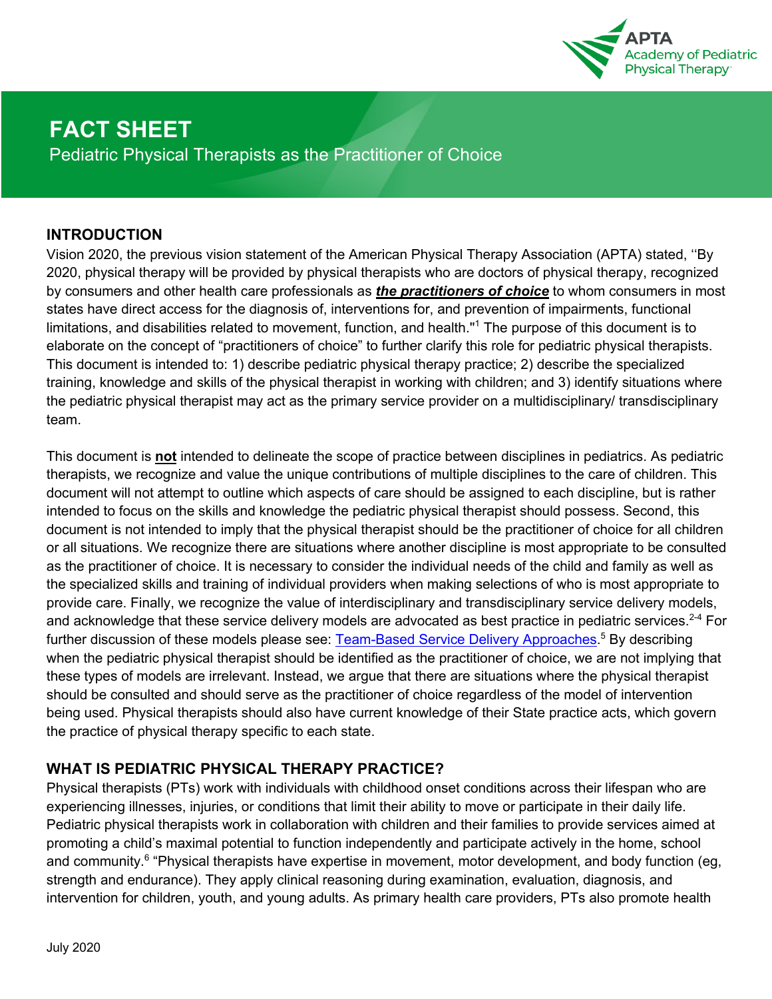

# **FACT SHEET**

Pediatric Physical Therapists as the Practitioner of Choice

### **INTRODUCTION**

Vision 2020, the previous vision statement of the American Physical Therapy Association (APTA) stated, ''By 2020, physical therapy will be provided by physical therapists who are doctors of physical therapy, recognized by consumers and other health care professionals as *the practitioners of choice* to whom consumers in most states have direct access for the diagnosis of, interventions for, and prevention of impairments, functional limitations, and disabilities related to movement, function, and health."<sup>1</sup> The purpose of this document is to elaborate on the concept of "practitioners of choice" to further clarify this role for pediatric physical therapists. This document is intended to: 1) describe pediatric physical therapy practice; 2) describe the specialized training, knowledge and skills of the physical therapist in working with children; and 3) identify situations where the pediatric physical therapist may act as the primary service provider on a multidisciplinary/ transdisciplinary team.

This document is **not** intended to delineate the scope of practice between disciplines in pediatrics. As pediatric therapists, we recognize and value the unique contributions of multiple disciplines to the care of children. This document will not attempt to outline which aspects of care should be assigned to each discipline, but is rather intended to focus on the skills and knowledge the pediatric physical therapist should possess. Second, this document is not intended to imply that the physical therapist should be the practitioner of choice for all children or all situations. We recognize there are situations where another discipline is most appropriate to be consulted as the practitioner of choice. It is necessary to consider the individual needs of the child and family as well as the specialized skills and training of individual providers when making selections of who is most appropriate to provide care. Finally, we recognize the value of interdisciplinary and transdisciplinary service delivery models, and acknowledge that these service delivery models are advocated as best practice in pediatric services.<sup>2-4</sup> For further discussion of these models please see: Team-Based Service Delivery Approaches.<sup>5</sup> By describing when the pediatric physical therapist should be identified as the practitioner of choice, we are not implying that these types of models are irrelevant. Instead, we argue that there are situations where the physical therapist should be consulted and should serve as the practitioner of choice regardless of the model of intervention being used. Physical therapists should also have current knowledge of their State practice acts, which govern the practice of physical therapy specific to each state.

## **WHAT IS PEDIATRIC PHYSICAL THERAPY PRACTICE?**

Physical therapists (PTs) work with individuals with childhood onset conditions across their lifespan who are experiencing illnesses, injuries, or conditions that limit their ability to move or participate in their daily life. Pediatric physical therapists work in collaboration with children and their families to provide services aimed at promoting a child's maximal potential to function independently and participate actively in the home, school and community.<sup>6</sup> "Physical therapists have expertise in movement, motor development, and body function (eg, strength and endurance). They apply clinical reasoning during examination, evaluation, diagnosis, and intervention for children, youth, and young adults. As primary health care providers, PTs also promote health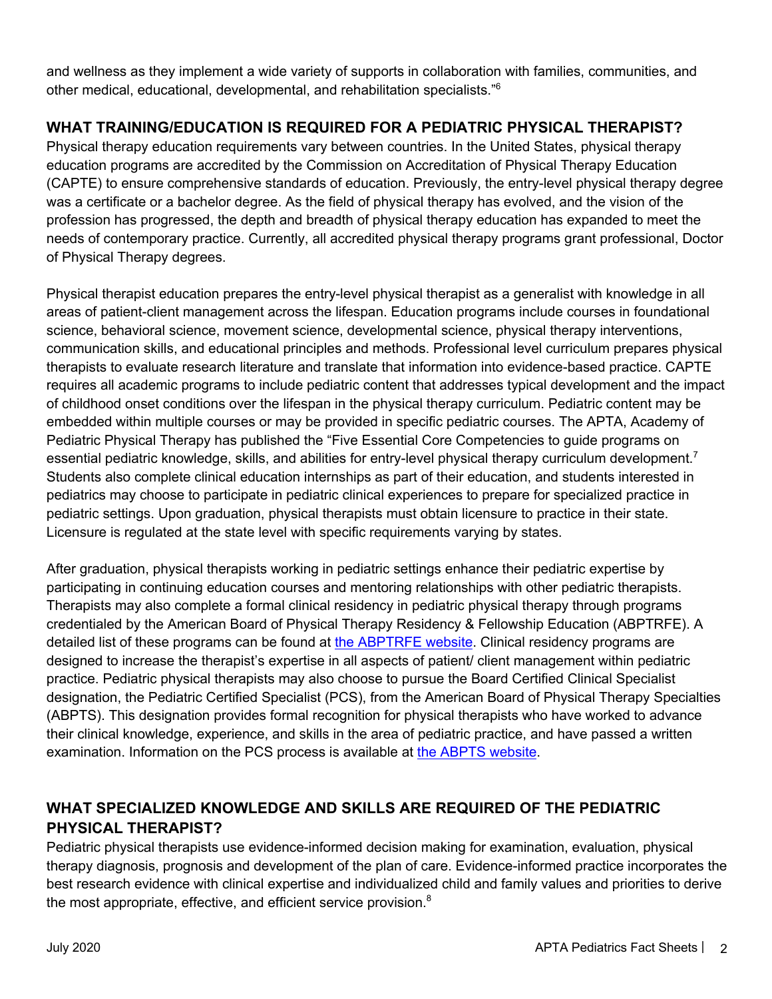and wellness as they implement a wide variety of supports in collaboration with families, communities, and other medical, educational, developmental, and rehabilitation specialists."<sup>6</sup>

## **WHAT TRAINING/EDUCATION IS REQUIRED FOR A PEDIATRIC PHYSICAL THERAPIST?**

Physical therapy education requirements vary between countries. In the United States, physical therapy education programs are accredited by the Commission on Accreditation of Physical Therapy Education (CAPTE) to ensure comprehensive standards of education. Previously, the entry-level physical therapy degree was a certificate or a bachelor degree. As the field of physical therapy has evolved, and the vision of the profession has progressed, the depth and breadth of physical therapy education has expanded to meet the needs of contemporary practice. Currently, all accredited physical therapy programs grant professional, Doctor of Physical Therapy degrees.

Physical therapist education prepares the entry-level physical therapist as a generalist with knowledge in all areas of patient-client management across the lifespan. Education programs include courses in foundational science, behavioral science, movement science, developmental science, physical therapy interventions, communication skills, and educational principles and methods. Professional level curriculum prepares physical therapists to evaluate research literature and translate that information into evidence-based practice. CAPTE requires all academic programs to include pediatric content that addresses typical development and the impact of childhood onset conditions over the lifespan in the physical therapy curriculum. Pediatric content may be embedded within multiple courses or may be provided in specific pediatric courses. The APTA, Academy of Pediatric Physical Therapy has published the "Five Essential Core Competencies to guide programs on essential pediatric knowledge, skills, and abilities for entry-level physical therapy curriculum development.<sup>7</sup> Students also complete clinical education internships as part of their education, and students interested in pediatrics may choose to participate in pediatric clinical experiences to prepare for specialized practice in pediatric settings. Upon graduation, physical therapists must obtain licensure to practice in their state. Licensure is regulated at the state level with specific requirements varying by states.

After graduation, physical therapists working in pediatric settings enhance their pediatric expertise by participating in continuing education courses and mentoring relationships with other pediatric therapists. Therapists may also complete a formal clinical residency in pediatric physical therapy through programs credentialed by the American Board of Physical Therapy Residency & Fellowship Education (ABPTRFE). A detailed list of these programs can be found at the ABPTRFE website. Clinical residency programs are designed to increase the therapist's expertise in all aspects of patient/ client management within pediatric practice. Pediatric physical therapists may also choose to pursue the Board Certified Clinical Specialist designation, the Pediatric Certified Specialist (PCS), from the American Board of Physical Therapy Specialties (ABPTS). This designation provides formal recognition for physical therapists who have worked to advance their clinical knowledge, experience, and skills in the area of pediatric practice, and have passed a written examination. Information on the PCS process is available at the ABPTS website.

# **WHAT SPECIALIZED KNOWLEDGE AND SKILLS ARE REQUIRED OF THE PEDIATRIC PHYSICAL THERAPIST?**

Pediatric physical therapists use evidence-informed decision making for examination, evaluation, physical therapy diagnosis, prognosis and development of the plan of care. Evidence-informed practice incorporates the best research evidence with clinical expertise and individualized child and family values and priorities to derive the most appropriate, effective, and efficient service provision.<sup>8</sup>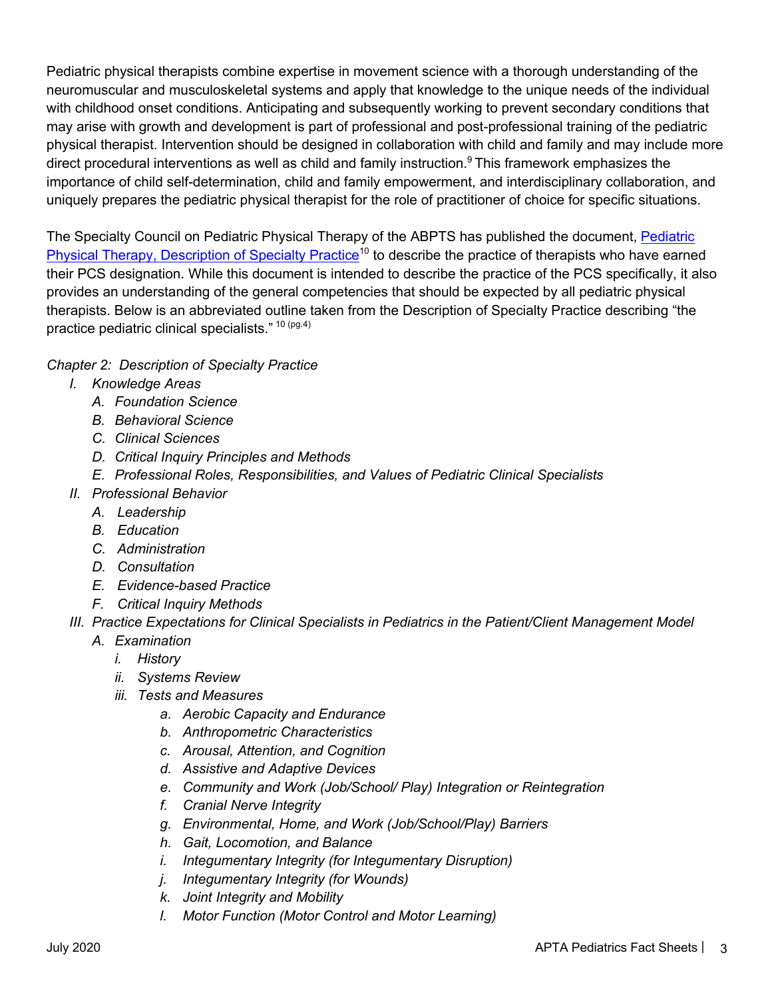Pediatric physical therapists combine expertise in movement science with a thorough understanding of the neuromuscular and musculoskeletal systems and apply that knowledge to the unique needs of the individual with childhood onset conditions. Anticipating and subsequently working to prevent secondary conditions that may arise with growth and development is part of professional and post-professional training of the pediatric physical therapist. Intervention should be designed in collaboration with child and family and may include more direct procedural interventions as well as child and family instruction.<sup>9</sup> This framework emphasizes the importance of child self-determination, child and family empowerment, and interdisciplinary collaboration, and uniquely prepares the pediatric physical therapist for the role of practitioner of choice for specific situations.

The Specialty Council on Pediatric Physical Therapy of the ABPTS has published the document, Pediatric Physical Therapy, Description of Specialty Practice<sup>10</sup> to describe the practice of therapists who have earned their PCS designation. While this document is intended to describe the practice of the PCS specifically, it also provides an understanding of the general competencies that should be expected by all pediatric physical therapists. Below is an abbreviated outline taken from the Description of Specialty Practice describing "the practice pediatric clinical specialists." 10 (pg.4)

#### *Chapter 2: Description of Specialty Practice*

- *I. Knowledge Areas*
	- *A. Foundation Science*
	- *B. Behavioral Science*
	- *C. Clinical Sciences*
	- *D. Critical Inquiry Principles and Methods*
	- *E. Professional Roles, Responsibilities, and Values of Pediatric Clinical Specialists*
- *II. Professional Behavior*
	- *A. Leadership*
	- *B. Education*
	- *C. Administration*
	- *D. Consultation*
	- *E. Evidence-based Practice*
	- *F. Critical Inquiry Methods*
- *III. Practice Expectations for Clinical Specialists in Pediatrics in the Patient/Client Management Model*
	- *A. Examination*
		- *i. History*
		- *ii. Systems Review*
		- *iii. Tests and Measures*
			- *a. Aerobic Capacity and Endurance*
			- *b. Anthropometric Characteristics*
			- *c. Arousal, Attention, and Cognition*
			- *d. Assistive and Adaptive Devices*
			- *e. Community and Work (Job/School/ Play) Integration or Reintegration*
			- *f. Cranial Nerve Integrity*
			- *g. Environmental, Home, and Work (Job/School/Play) Barriers*
			- *h. Gait, Locomotion, and Balance*
			- *i. Integumentary Integrity (for Integumentary Disruption)*
			- *j. Integumentary Integrity (for Wounds)*
			- *k. Joint Integrity and Mobility*
			- *l. Motor Function (Motor Control and Motor Learning)*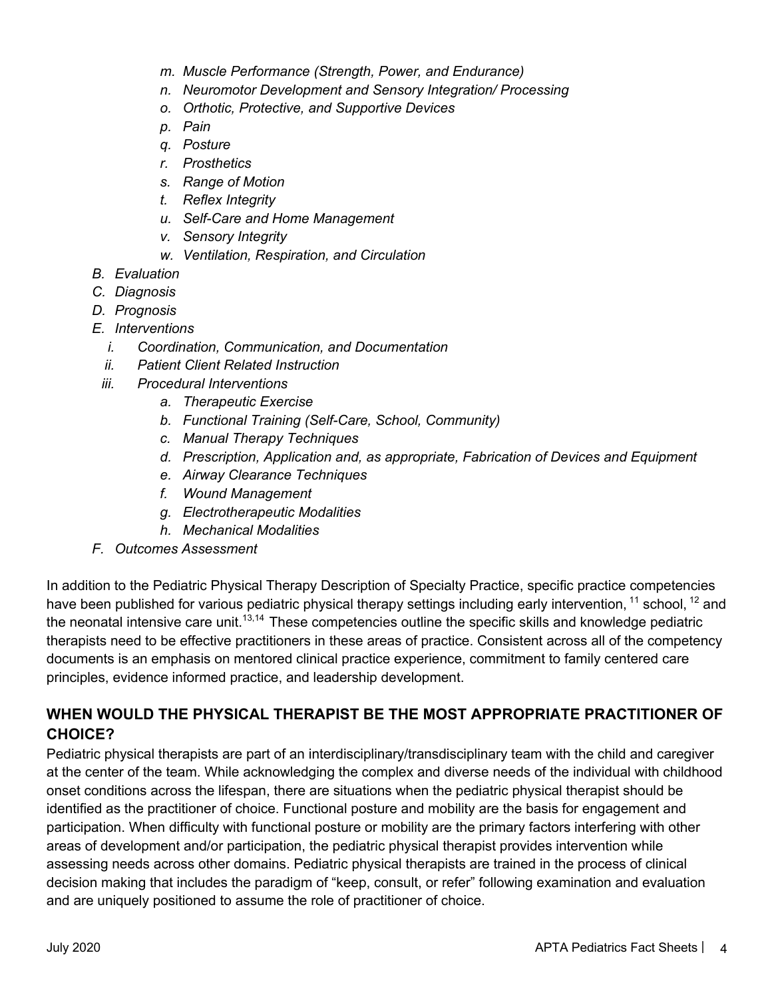- *m. Muscle Performance (Strength, Power, and Endurance)*
- *n. Neuromotor Development and Sensory Integration/ Processing*
- *o. Orthotic, Protective, and Supportive Devices*
- *p. Pain*
- *q. Posture*
- *r. Prosthetics*
- *s. Range of Motion*
- *t. Reflex Integrity*
- *u. Self-Care and Home Management*
- *v. Sensory Integrity*
- *w. Ventilation, Respiration, and Circulation*
- *B. Evaluation*
- *C. Diagnosis*
- *D. Prognosis*
- *E. Interventions*
	- *i. Coordination, Communication, and Documentation*
	- *ii. Patient Client Related Instruction*
	- *iii. Procedural Interventions*
		- *a. Therapeutic Exercise*
		- *b. Functional Training (Self-Care, School, Community)*
		- *c. Manual Therapy Techniques*
		- *d. Prescription, Application and, as appropriate, Fabrication of Devices and Equipment*
		- *e. Airway Clearance Techniques*
		- *f. Wound Management*
		- *g. Electrotherapeutic Modalities*
		- *h. Mechanical Modalities*
- *F. Outcomes Assessment*

In addition to the Pediatric Physical Therapy Description of Specialty Practice, specific practice competencies have been published for various pediatric physical therapy settings including early intervention, <sup>11</sup> school, <sup>12</sup> and the neonatal intensive care unit.<sup>13,14</sup> These competencies outline the specific skills and knowledge pediatric therapists need to be effective practitioners in these areas of practice. Consistent across all of the competency documents is an emphasis on mentored clinical practice experience, commitment to family centered care principles, evidence informed practice, and leadership development.

## **WHEN WOULD THE PHYSICAL THERAPIST BE THE MOST APPROPRIATE PRACTITIONER OF CHOICE?**

Pediatric physical therapists are part of an interdisciplinary/transdisciplinary team with the child and caregiver at the center of the team. While acknowledging the complex and diverse needs of the individual with childhood onset conditions across the lifespan, there are situations when the pediatric physical therapist should be identified as the practitioner of choice. Functional posture and mobility are the basis for engagement and participation. When difficulty with functional posture or mobility are the primary factors interfering with other areas of development and/or participation, the pediatric physical therapist provides intervention while assessing needs across other domains. Pediatric physical therapists are trained in the process of clinical decision making that includes the paradigm of "keep, consult, or refer" following examination and evaluation and are uniquely positioned to assume the role of practitioner of choice.